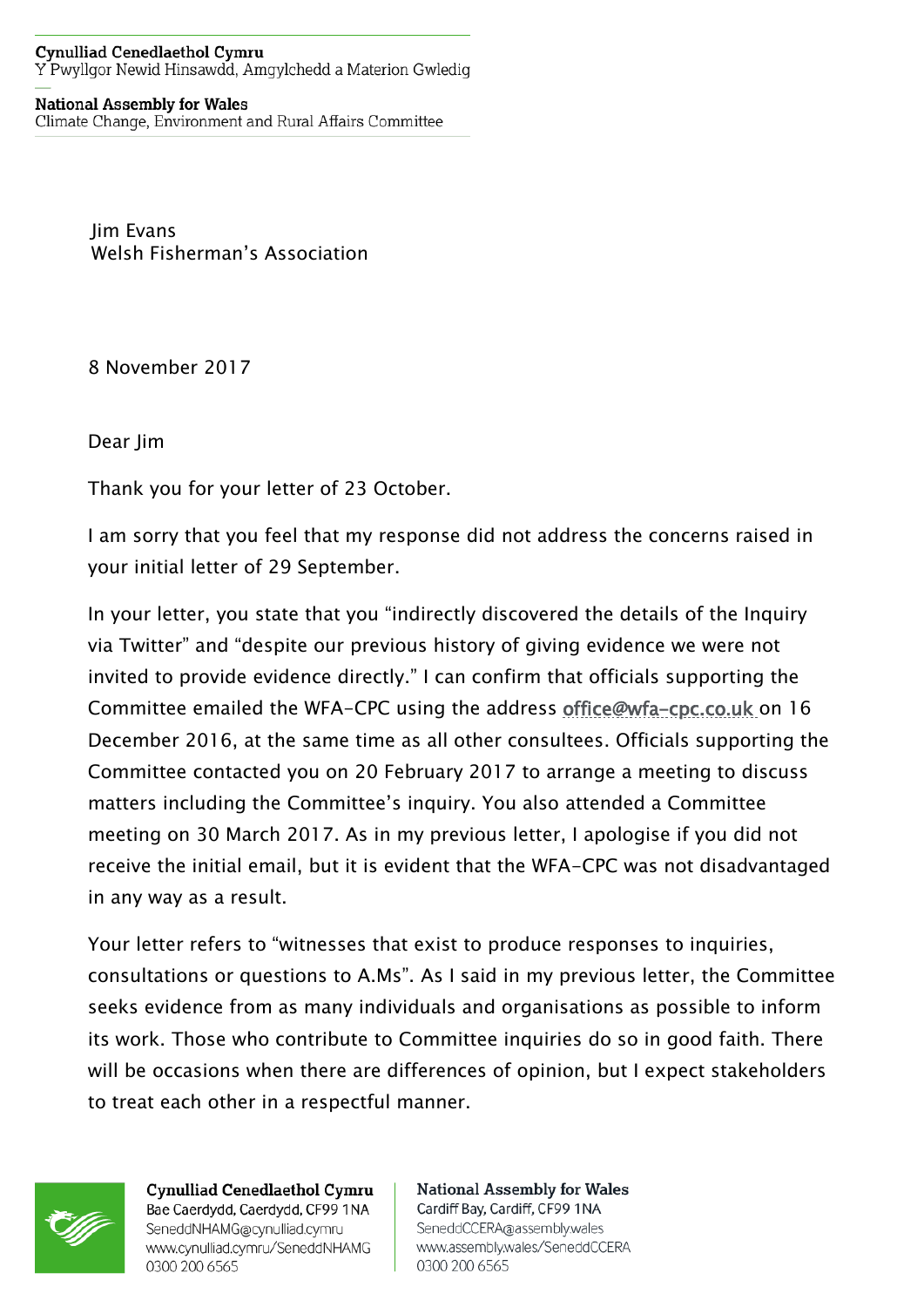## **Cynulliad Cenedlaethol Cymru** Y Pwyllgor Newid Hinsawdd, Amgylchedd a Materion Gwledig

## **National Assembly for Wales**

Climate Change, Environment and Rural Affairs Committee

Jim Evans Welsh Fisherman's Association

8 November 2017

Dear Jim

Thank you for your letter of 23 October.

I am sorry that you feel that my response did not address the concerns raised in your initial letter of 29 September.

In your letter, you state that you "indirectly discovered the details of the Inquiry via Twitter" and "despite our previous history of giving evidence we were not invited to provide evidence directly." I can confirm that officials supporting the Committee emailed the WFA-CPC using the address [office@wfa-cpc.co.uk](mailto:office@wfa-cpc.co.uk) on 16 December 2016, at the same time as all other consultees. Officials supporting the Committee contacted you on 20 February 2017 to arrange a meeting to discuss matters including the Committee's inquiry. You also attended a Committee meeting on 30 March 2017. As in my previous letter, I apologise if you did not receive the initial email, but it is evident that the WFA-CPC was not disadvantaged in any way as a result.

Your letter refers to "witnesses that exist to produce responses to inquiries, consultations or questions to A.Ms". As I said in my previous letter, the Committee seeks evidence from as many individuals and organisations as possible to inform its work. Those who contribute to Committee inquiries do so in good faith. There will be occasions when there are differences of opinion, but I expect stakeholders to treat each other in a respectful manner.



**Cynulliad Cenedlaethol Cymru** Bae Caerdydd, Caerdydd, CF99 1NA SeneddNHAMG@cynulliad.cymru www.cynulliad.cymru/SeneddNHAMG 0300 200 6565

**National Assembly for Wales** Cardiff Bay, Cardiff, CF99 1NA SeneddCCERA@assembly.wales www.assembly.wales/SeneddCCERA 0300 200 6565